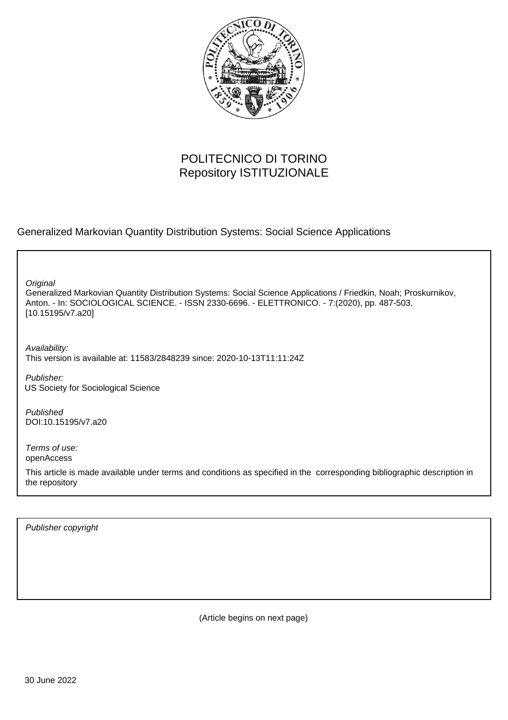

# POLITECNICO DI TORINO Repository ISTITUZIONALE

Generalized Markovian Quantity Distribution Systems: Social Science Applications

**Original** 

Generalized Markovian Quantity Distribution Systems: Social Science Applications / Friedkin, Noah; Proskurnikov, Anton. - In: SOCIOLOGICAL SCIENCE. - ISSN 2330-6696. - ELETTRONICO. - 7:(2020), pp. 487-503. [10.15195/v7.a20]

Availability: This version is available at: 11583/2848239 since: 2020-10-13T11:11:24Z

Publisher: US Society for Sociological Science

Published DOI:10.15195/v7.a20

Terms of use: openAccess

This article is made available under terms and conditions as specified in the corresponding bibliographic description in the repository

Publisher copyright

(Article begins on next page)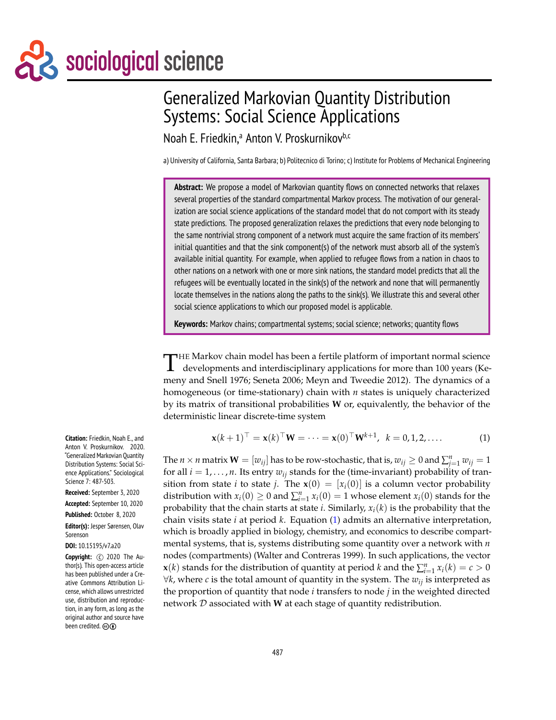# sociological science

# Generalized Markovian Quantity Distribution Systems: Social Science Applications

Noah E. Friedkin,<sup>a</sup> Anton V. Proskurnikov<sup>b,c</sup>

a) University of California, Santa Barbara; b) Politecnico di Torino; c) Institute for Problems of Mechanical Engineering

**Abstract:** We propose a model of Markovian quantity flows on connected networks that relaxes several properties of the standard compartmental Markov process. The motivation of our generalization are social science applications of the standard model that do not comport with its steady state predictions. The proposed generalization relaxes the predictions that every node belonging to the same nontrivial strong component of a network must acquire the same fraction of its members' initial quantities and that the sink component(s) of the network must absorb all of the system's available initial quantity. For example, when applied to refugee flows from a nation in chaos to other nations on a network with one or more sink nations, the standard model predicts that all the refugees will be eventually located in the sink(s) of the network and none that will permanently locate themselves in the nations along the paths to the sink(s). We illustrate this and several other social science applications to which our proposed model is applicable.

**Keywords:** Markov chains; compartmental systems; social science; networks; quantity flows

 $\mathbf{I}$ **HE Markov chain model has been a fertile platform of important normal science** developments and interdisciplinary applications for more than 100 years (Kemeny and Snell 1976; Seneta 2006; Meyn and Tweedie 2012). The dynamics of a homogeneous (or time-stationary) chain with *n* states is uniquely characterized by its matrix of transitional probabilities **W** or, equivalently, the behavior of the deterministic linear discrete-time system

$$
\mathbf{x}(k+1)^{\top} = \mathbf{x}(k)^{\top} \mathbf{W} = \cdots = \mathbf{x}(0)^{\top} \mathbf{W}^{k+1}, \ \ k = 0, 1, 2, \ldots \tag{1}
$$

The  $n \times n$  matrix  $\mathbf{W} = [w_{ij}]$  has to be row-stochastic, that is,  $w_{ij} \geq 0$  and  $\sum_{j=1}^n w_{ij} = 1$ for all  $i = 1, \ldots, n$ . Its entry  $w_{ij}$  stands for the (time-invariant) probability of transition from state *i* to state *j*. The  $\mathbf{x}(0) = [x_i(0)]$  is a column vector probability distribution with  $x_i(0) \ge 0$  and  $\sum_{i=1}^n x_i(0) = 1$  whose element  $x_i(0)$  stands for the probability that the chain starts at state *i*. Similarly, *xi*(*k*) is the probability that the chain visits state *i* at period *k*. Equation (1) admits an alternative interpretation, which is broadly applied in biology, chemistry, and economics to describe compartmental systems, that is, systems distributing some quantity over a network with *n* nodes (compartments) (Walter and Contreras 1999). In such applications, the vector *x*(*k*) stands for the distribution of quantity at period *k* and the  $\sum_{i=1}^{n} x_i(k) = c > 0$ ∀*k*, where *c* is the total amount of quantity in the system. The *wij* is interpreted as the proportion of quantity that node *i* transfers to node *j* in the weighted directed network D associated with **W** at each stage of quantity redistribution.

**Citation:** Friedkin, Noah E., and Anton V. Proskurnikov. 2020. "Generalized Markovian Quantity Distribution Systems: Social Science Applications." Sociological Science 7: 487-503.

**Received:** September 3, 2020

**Accepted:** September 10, 2020

**Published:** October 8, 2020

**Editor(s):** Jesper Sørensen, Olav Sorenson

**DOI:** 10.15195/v7.a20

**Copyright:** C 2020 The Author(s). This open-access article has been published under a Creative Commons Attribution License, which allows unrestricted use, distribution and reproduction, in any form, as long as the original author and source have been credited.  $\circledcirc$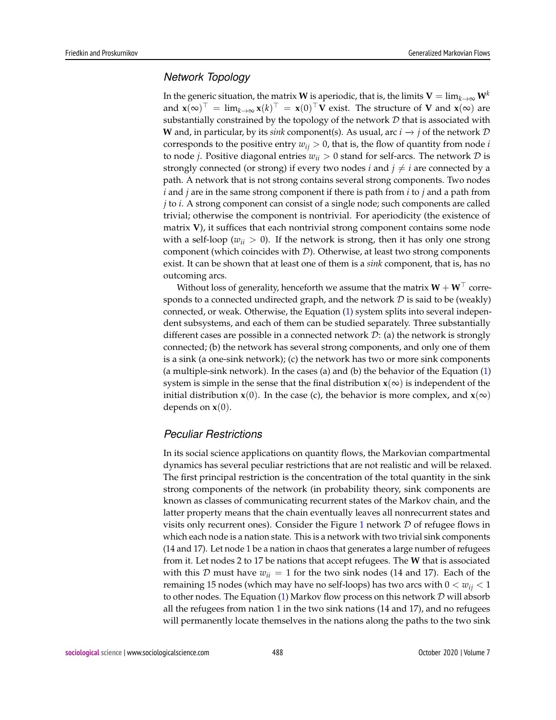#### *Network Topology*

In the generic situation, the matrix **W** is aperiodic, that is, the limits **V** =  $\lim_{k\to\infty}$  **W**<sup>*k*</sup> and  $\mathbf{x}(\infty)^\top = \lim_{k \to \infty} \mathbf{x}(k)^\top = \mathbf{x}(0)^\top \mathbf{V}$  exist. The structure of **V** and  $\mathbf{x}(\infty)$  are substantially constrained by the topology of the network  $D$  that is associated with **W** and, in particular, by its *sink* component(s). As usual, arc  $i \rightarrow j$  of the network  $D$ corresponds to the positive entry  $w_{ij} > 0$ , that is, the flow of quantity from node *i* to node *j*. Positive diagonal entries  $w_{ii} > 0$  stand for self-arcs. The network  $D$  is strongly connected (or strong) if every two nodes *i* and  $j \neq i$  are connected by a path. A network that is not strong contains several strong components. Two nodes *i* and *j* are in the same strong component if there is path from *i* to *j* and a path from *j* to *i*. A strong component can consist of a single node; such components are called trivial; otherwise the component is nontrivial. For aperiodicity (the existence of matrix **V**), it suffices that each nontrivial strong component contains some node with a self-loop ( $w_{ii} > 0$ ). If the network is strong, then it has only one strong component (which coincides with  $\mathcal{D}$ ). Otherwise, at least two strong components exist. It can be shown that at least one of them is a *sink* component, that is, has no outcoming arcs.

Without loss of generality, henceforth we assume that the matrix  $W + W^{\perp}$  corresponds to a connected undirected graph, and the network  $D$  is said to be (weakly) connected, or weak. Otherwise, the Equation (1) system splits into several independent subsystems, and each of them can be studied separately. Three substantially different cases are possible in a connected network  $\mathcal{D}$ : (a) the network is strongly connected; (b) the network has several strong components, and only one of them is a sink (a one-sink network); (c) the network has two or more sink components (a multiple-sink network). In the cases (a) and (b) the behavior of the Equation (1) system is simple in the sense that the final distribution  $\mathbf{x}(\infty)$  is independent of the initial distribution **x**(0). In the case (c), the behavior is more complex, and **x**( $\infty$ ) depends on **x**(0).

#### *Peculiar Restrictions*

In its social science applications on quantity flows, the Markovian compartmental dynamics has several peculiar restrictions that are not realistic and will be relaxed. The first principal restriction is the concentration of the total quantity in the sink strong components of the network (in probability theory, sink components are known as classes of communicating recurrent states of the Markov chain, and the latter property means that the chain eventually leaves all nonrecurrent states and visits only recurrent ones). Consider the Figure 1 network  $D$  of refugee flows in which each node is a nation state. This is a network with two trivial sink components (14 and 17). Let node 1 be a nation in chaos that generates a large number of refugees from it. Let nodes 2 to 17 be nations that accept refugees. The **W** that is associated with this D must have  $w_{ii} = 1$  for the two sink nodes (14 and 17). Each of the remaining 15 nodes (which may have no self-loops) has two arcs with  $0 < w_{ij} < 1$ to other nodes. The Equation (1) Markov flow process on this network  $D$  will absorb all the refugees from nation 1 in the two sink nations (14 and 17), and no refugees will permanently locate themselves in the nations along the paths to the two sink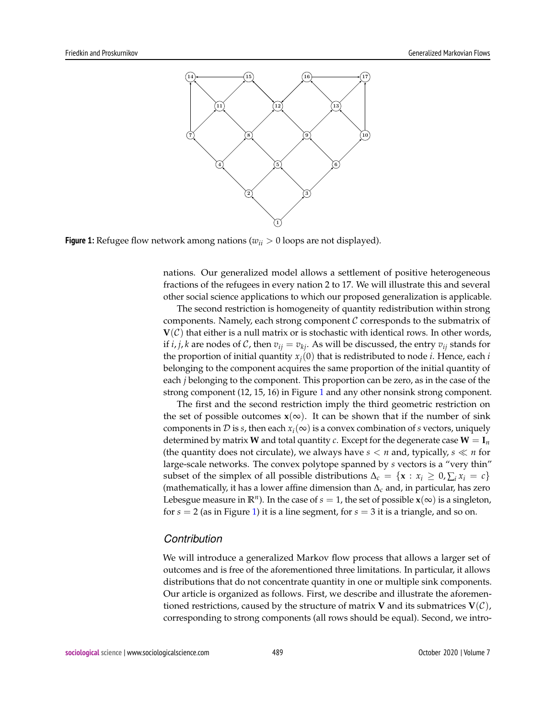

**Figure 1:** Refugee flow network among nations ( $w_{ii} > 0$  loops are not displayed).

nations. Our generalized model allows a settlement of positive heterogeneous fractions of the refugees in every nation 2 to 17. We will illustrate this and several other social science applications to which our proposed generalization is applicable.

The second restriction is homogeneity of quantity redistribution within strong components. Namely, each strong component  $\mathcal C$  corresponds to the submatrix of  $V(\mathcal{C})$  that either is a null matrix or is stochastic with identical rows. In other words, if *i*, *j*, *k* are nodes of *C*, then  $v_{ij} = v_{ki}$ . As will be discussed, the entry  $v_{ij}$  stands for the proportion of initial quantity  $x_j(0)$  that is redistributed to node *i*. Hence, each *i* belonging to the component acquires the same proportion of the initial quantity of each *j* belonging to the component. This proportion can be zero, as in the case of the strong component (12, 15, 16) in Figure 1 and any other nonsink strong component.

The first and the second restriction imply the third geometric restriction on the set of possible outcomes  $x(\infty)$ . It can be shown that if the number of sink components in D is *s*, then each  $x_i(\infty)$  is a convex combination of *s* vectors, uniquely determined by matrix **W** and total quantity *c*. Except for the degenerate case  $W = I_n$ (the quantity does not circulate), we always have  $s < n$  and, typically,  $s \ll n$  for large-scale networks. The convex polytope spanned by *s* vectors is a "very thin" subset of the simplex of all possible distributions  $\Delta_c = \{ \mathbf{x} : x_i \geq 0, \sum_i x_i = c \}$ (mathematically, it has a lower affine dimension than ∆*<sup>c</sup>* and, in particular, has zero Lebesgue measure in  $\mathbb{R}^n$ ). In the case of  $s = 1$ , the set of possible  $\mathbf{x}(\infty)$  is a singleton, for *s* = 2 (as in Figure 1) it is a line segment, for *s* = 3 it is a triangle, and so on.

#### *Contribution*

We will introduce a generalized Markov flow process that allows a larger set of outcomes and is free of the aforementioned three limitations. In particular, it allows distributions that do not concentrate quantity in one or multiple sink components. Our article is organized as follows. First, we describe and illustrate the aforementioned restrictions, caused by the structure of matrix **V** and its submatrices  $V(\mathcal{C})$ , corresponding to strong components (all rows should be equal). Second, we intro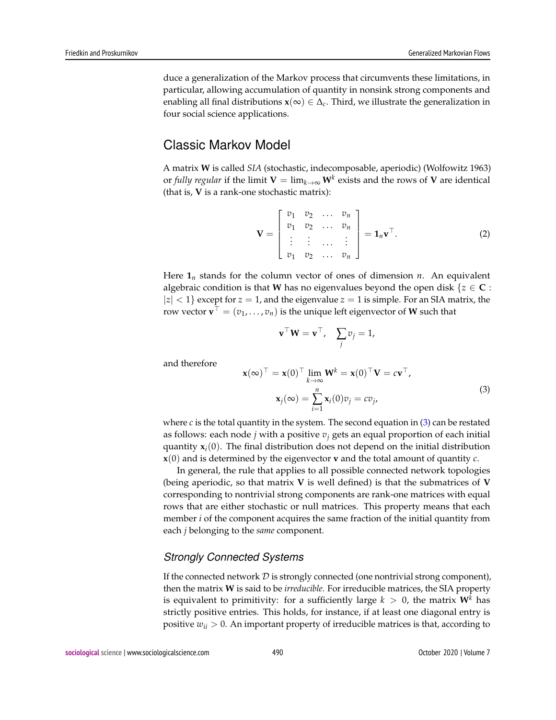duce a generalization of the Markov process that circumvents these limitations, in particular, allowing accumulation of quantity in nonsink strong components and enabling all final distributions  $\mathbf{x}(\infty) \in \Delta_c$ . Third, we illustrate the generalization in four social science applications.

# Classic Markov Model

A matrix **W** is called *SIA* (stochastic, indecomposable, aperiodic) (Wolfowitz 1963) or *fully regular* if the limit  $\mathbf{V} = \lim_{k\to\infty} \mathbf{W}^k$  exists and the rows of  $\mathbf{V}$  are identical (that is, **V** is a rank-one stochastic matrix):

$$
\mathbf{V} = \begin{bmatrix} v_1 & v_2 & \dots & v_n \\ v_1 & v_2 & \dots & v_n \\ \vdots & \vdots & \dots & \vdots \\ v_1 & v_2 & \dots & v_n \end{bmatrix} = \mathbf{1}_n \mathbf{v}^\top. \tag{2}
$$

Here  $\mathbf{1}_n$  stands for the column vector of ones of dimension *n*. An equivalent algebraic condition is that **W** has no eigenvalues beyond the open disk  $\{z \in \mathbb{C} :$  $|z| < 1$ } except for  $z = 1$ , and the eigenvalue  $z = 1$  is simple. For an SIA matrix, the row vector  $\mathbf{v}^\top = (v_1, \dots, v_n)$  is the unique left eigenvector of  $\mathbf W$  such that

$$
\mathbf{v}^\top \mathbf{W} = \mathbf{v}^\top, \quad \sum_j v_j = 1,
$$

and therefore

$$
\mathbf{x}(\infty)^{\top} = \mathbf{x}(0)^{\top} \lim_{k \to \infty} \mathbf{W}^{k} = \mathbf{x}(0)^{\top} \mathbf{V} = c \mathbf{v}^{\top},
$$
  

$$
\mathbf{x}_{j}(\infty) = \sum_{i=1}^{n} \mathbf{x}_{i}(0)v_{j} = cv_{j},
$$
 (3)

where  $c$  is the total quantity in the system. The second equation in  $(3)$  can be restated as follows: each node *j* with a positive *v<sup>j</sup>* gets an equal proportion of each initial quantity  $\mathbf{x}_i(0)$ . The final distribution does not depend on the initial distribution **x**(0) and is determined by the eigenvector **v** and the total amount of quantity *c*.

In general, the rule that applies to all possible connected network topologies (being aperiodic, so that matrix **V** is well defined) is that the submatrices of **V** corresponding to nontrivial strong components are rank-one matrices with equal rows that are either stochastic or null matrices. This property means that each member *i* of the component acquires the same fraction of the initial quantity from each *j* belonging to the *same* component.

#### *Strongly Connected Systems*

If the connected network  $D$  is strongly connected (one nontrivial strong component), then the matrix **W** is said to be *irreducible*. For irreducible matrices, the SIA property is equivalent to primitivity: for a sufficiently large  $k > 0$ , the matrix  $W^k$  has strictly positive entries. This holds, for instance, if at least one diagonal entry is positive  $w_{ii} > 0$ . An important property of irreducible matrices is that, according to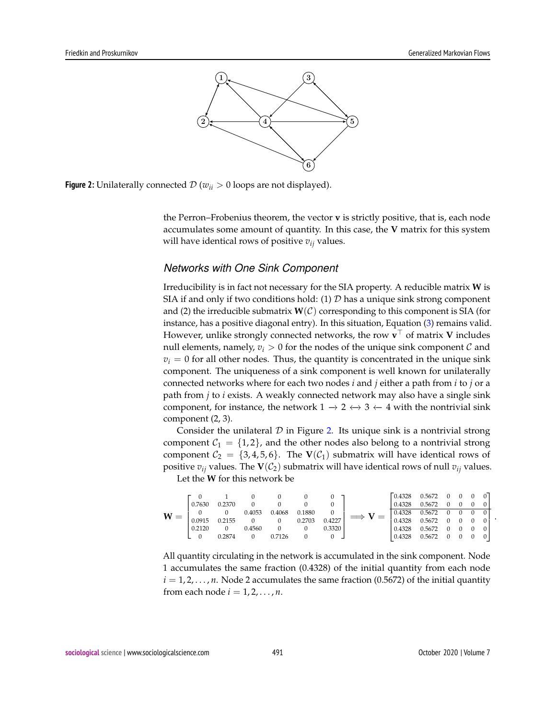

**Figure 2:** Unilaterally connected  $\mathcal{D}(w_{ii} > 0 \text{ loops are not displayed}).$ 

the Perron–Frobenius theorem, the vector **v** is strictly positive, that is, each node accumulates some amount of quantity. In this case, the **V** matrix for this system will have identical rows of positive  $v_{ij}$  values.

#### *Networks with One Sink Component*

Irreducibility is in fact not necessary for the SIA property. A reducible matrix **W** is SIA if and only if two conditions hold: (1)  $D$  has a unique sink strong component and (2) the irreducible submatrix  $W(\mathcal{C})$  corresponding to this component is SIA (for instance, has a positive diagonal entry). In this situation, Equation (3) remains valid. However, unlike strongly connected networks, the row  $\mathbf{v}^\top$  of matrix  $\mathbf{V}$  includes null elements, namely,  $v_i > 0$  for the nodes of the unique sink component C and  $v_i = 0$  for all other nodes. Thus, the quantity is concentrated in the unique sink component. The uniqueness of a sink component is well known for unilaterally connected networks where for each two nodes *i* and *j* either a path from *i* to *j* or a path from *j* to *i* exists. A weakly connected network may also have a single sink component, for instance, the network  $1 \rightarrow 2 \leftrightarrow 3 \leftarrow 4$  with the nontrivial sink component (2, 3).

Consider the unilateral  $D$  in Figure 2. Its unique sink is a nontrivial strong component  $C_1 = \{1, 2\}$ , and the other nodes also belong to a nontrivial strong component  $C_2 = \{3, 4, 5, 6\}$ . The **V**( $C_1$ ) submatrix will have identical rows of positive  $v_{ij}$  values. The  $\mathbf{V}(\mathcal{C}_2)$  submatrix will have identical rows of null  $v_{ij}$  values. Let the **W** for this network be

| W | 0.7630<br>0.0915 | 0.2370<br>0 2155 | 0.4053<br>$\begin{matrix} 0 & 0 \end{matrix}$ | 0.4068 | 0.1880<br>0.2703 | 0.4227 | $\equiv$ | 0.4328<br>0.4328<br>0.4328<br>0.4328 | 0.5672<br>0.5672<br>0.5672<br>0.5672 | $\overline{0}$ | $\mathbf{0}$ | $\overline{0}$<br>$0 \times 0$ | $\overline{0}$<br>$\mathbf{0}$ |  |
|---|------------------|------------------|-----------------------------------------------|--------|------------------|--------|----------|--------------------------------------|--------------------------------------|----------------|--------------|--------------------------------|--------------------------------|--|
|   | 0.2120           | 0 2874           | 0.4560                                        | 0.7126 |                  | 0.3320 |          | 0.4328<br>0.4328                     | 0.5672<br>0.5672                     | $\Omega$       | $0 \quad 0$  |                                | $\overline{0}$<br>$\mathbf{0}$ |  |

All quantity circulating in the network is accumulated in the sink component. Node 1 accumulates the same fraction (0.4328) of the initial quantity from each node  $i = 1, 2, \ldots, n$ . Node 2 accumulates the same fraction (0.5672) of the initial quantity from each node  $i = 1, 2, \ldots, n$ .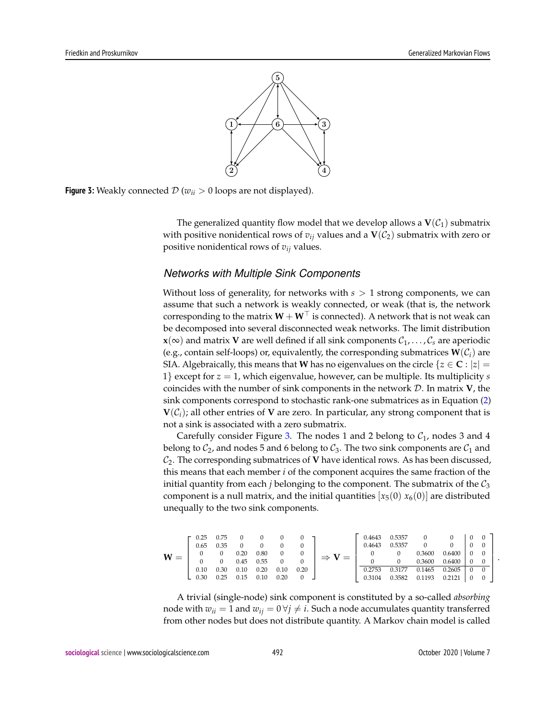

**Figure 3:** Weakly connected  $\mathcal{D}(w_{ii} > 0 \text{ loops are not displayed}).$ 

The generalized quantity flow model that we develop allows a  $V(\mathcal{C}_1)$  submatrix with positive nonidentical rows of  $v_{ij}$  values and a  $\mathbf{V}(\mathcal{C}_2)$  submatrix with zero or positive nonidentical rows of *vij* values.

#### *Networks with Multiple Sink Components*

Without loss of generality, for networks with *s* > 1 strong components, we can assume that such a network is weakly connected, or weak (that is, the network corresponding to the matrix  $W + W^{\top}$  is connected). A network that is not weak can be decomposed into several disconnected weak networks. The limit distribution **x**( $\infty$ ) and matrix **V** are well defined if all sink components  $C_1, \ldots, C_s$  are aperiodic (e.g., contain self-loops) or, equivalently, the corresponding submatrices  $W(\mathcal{C}_i)$  are SIA. Algebraically, this means that **W** has no eigenvalues on the circle  $\{z \in \mathbf{C} : |z| = \}$ 1} except for *z* = 1, which eigenvalue, however, can be multiple. Its multiplicity *s* coincides with the number of sink components in the network D. In matrix **V**, the sink components correspond to stochastic rank-one submatrices as in Equation (2)  $V(\mathcal{C}_i)$ ; all other entries of V are zero. In particular, any strong component that is not a sink is associated with a zero submatrix.

Carefully consider Figure 3. The nodes 1 and 2 belong to  $C_1$ , nodes 3 and 4 belong to  $C_2$ , and nodes 5 and 6 belong to  $C_3$ . The two sink components are  $C_1$  and  $C_2$ . The corresponding submatrices of **V** have identical rows. As has been discussed, this means that each member *i* of the component acquires the same fraction of the initial quantity from each *j* belonging to the component. The submatrix of the  $C_3$ component is a null matrix, and the initial quantities  $[x_5(0) x_6(0)]$  are distributed unequally to the two sink components.

$$
\mathbf{W} = \left[\begin{array}{cccccc} 0.25 & 0.75 & 0 & 0 & 0 & 0 \\ 0.65 & 0.35 & 0 & 0 & 0 & 0 \\ 0 & 0 & 0.20 & 0.80 & 0 & 0 \\ 0 & 0 & 0.45 & 0.55 & 0 & 0 \\ 0.10 & 0.30 & 0.10 & 0.20 & 0.10 & 0.20 \\ 0.30 & 0.25 & 0.15 & 0.10 & 0.20 & 0 \end{array}\right] \Rightarrow \mathbf{V} = \left[\begin{array}{cccccc} 0.4643 & 0.5357 & 0 & 0 & 0 & 0 \\ 0.4643 & 0.5357 & 0 & 0 & 0 & 0 \\ 0 & 0 & 0.3600 & 0.6400 & 0 & 0 \\ 0 & 0 & 0.3600 & 0.6400 & 0 & 0 \\ 0.2753 & 0.3177 & 0.1465 & 0.2605 & 0 & 0 \\ 0.3104 & 0.3582 & 0.1193 & 0.2121 & 0 & 0 \end{array}\right]
$$

A trivial (single-node) sink component is constituted by a so-called *absorbing* node with  $w_{ii} = 1$  and  $w_{ij} = 0 \forall j \neq i$ . Such a node accumulates quantity transferred from other nodes but does not distribute quantity. A Markov chain model is called

.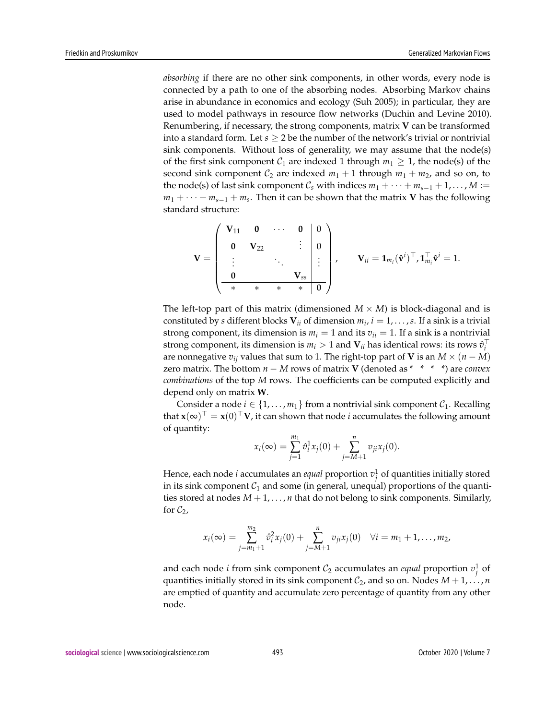*absorbing* if there are no other sink components, in other words, every node is connected by a path to one of the absorbing nodes. Absorbing Markov chains arise in abundance in economics and ecology (Suh 2005); in particular, they are used to model pathways in resource flow networks (Duchin and Levine 2010). Renumbering, if necessary, the strong components, matrix **V** can be transformed into a standard form. Let  $s \geq 2$  be the number of the network's trivial or nontrivial sink components. Without loss of generality, we may assume that the node(s) of the first sink component  $C_1$  are indexed 1 through  $m_1 \geq 1$ , the node(s) of the second sink component  $C_2$  are indexed  $m_1 + 1$  through  $m_1 + m_2$ , and so on, to the node(s) of last sink component  $C_s$  with indices  $m_1 + \cdots + m_{s-1} + 1, \ldots, M :=$ *m*<sub>1</sub> + · · · + *m*<sub>*s*−1</sub> + *m*<sub>*s*</sub>. Then it can be shown that the matrix **V** has the following standard structure:

$$
\mathbf{V} = \begin{pmatrix} \mathbf{V}_{11} & \mathbf{0} & \cdots & \mathbf{0} & | & 0 \\ \mathbf{0} & \mathbf{V}_{22} & & \vdots & | & 0 \\ \vdots & & \ddots & & \vdots \\ \mathbf{0} & & & \mathbf{V}_{ss} & | & \mathbf{0} \end{pmatrix}, \qquad \mathbf{V}_{ii} = \mathbf{1}_{m_i} (\hat{\mathbf{v}}^i)^\top, \mathbf{1}_{m_i}^\top \hat{\mathbf{v}}^i = 1.
$$

The left-top part of this matrix (dimensioned  $M \times M$ ) is block-diagonal and is constituted by *s* different blocks  $V_{ii}$  of dimension  $m_i$ ,  $i = 1, \ldots, s$ . If a sink is a trivial strong component, its dimension is  $m_i = 1$  and its  $v_{ii} = 1$ . If a sink is a nontrivial strong component, its dimension is  $m_i > 1$  and  $V_{ii}$  has identical rows: its rows  $\hat{v}_i^{\top}$ are nonnegative  $v_{ij}$  values that sum to 1. The right-top part of **V** is an  $M \times (n - M)$ zero matrix. The bottom *n* − *M* rows of matrix **V** (denoted as \* \* \* \*) are *convex combinations* of the top *M* rows. The coefficients can be computed explicitly and depend only on matrix **W**.

Consider a node  $i \in \{1, \ldots, m_1\}$  from a nontrivial sink component  $C_1$ . Recalling that  $\mathbf{x}(\infty)^\top = \mathbf{x}(0)^\top \mathbf{V}$ , it can shown that node *i* accumulates the following amount of quantity:

$$
x_i(\infty) = \sum_{j=1}^{m_1} \hat{v}_i^1 x_j(0) + \sum_{j=M+1}^{n} v_{ji} x_j(0).
$$

Hence, each node *i* accumulates an *equal* proportion  $v_j^1$  of quantities initially stored in its sink component  $C_1$  and some (in general, unequal) proportions of the quantities stored at nodes  $M + 1, \ldots, n$  that do not belong to sink components. Similarly, for  $C_2$ ,

$$
x_i(\infty) = \sum_{j=m_1+1}^{m_2} \hat{v}_i^2 x_j(0) + \sum_{j=M+1}^{n} v_{ji} x_j(0) \quad \forall i = m_1+1,\ldots,m_2,
$$

and each node *i* from sink component  $C_2$  accumulates an *equal* proportion  $v_j^1$  of quantities initially stored in its sink component  $C_2$ , and so on. Nodes  $M + 1, \ldots, n$ are emptied of quantity and accumulate zero percentage of quantity from any other node.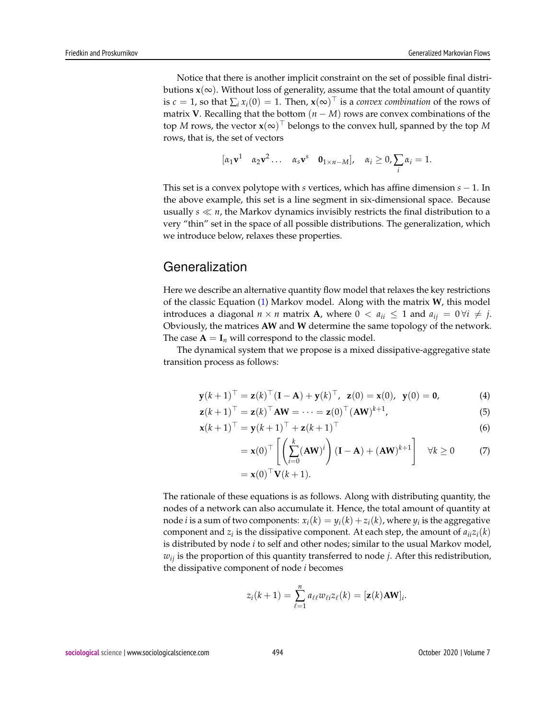Notice that there is another implicit constraint on the set of possible final distributions  $x(\infty)$ . Without loss of generality, assume that the total amount of quantity is  $c = 1$ , so that  $\sum_i x_i(0) = 1$ . Then,  $\mathbf{x}(\infty)^\top$  is a *convex combination* of the rows of matrix **V**. Recalling that the bottom  $(n - M)$  rows are convex combinations of the top  $M$  rows, the vector  $\mathbf{x}(\infty)^\top$  belongs to the convex hull, spanned by the top  $M$ rows, that is, the set of vectors

$$
[\alpha_1 \mathbf{v}^1 \quad \alpha_2 \mathbf{v}^2 \dots \quad \alpha_s \mathbf{v}^s \quad \mathbf{0}_{1 \times n-M}], \quad \alpha_i \geq 0, \sum_i \alpha_i = 1.
$$

This set is a convex polytope with *s* vertices, which has affine dimension *s* − 1. In the above example, this set is a line segment in six-dimensional space. Because usually  $s \ll n$ , the Markov dynamics invisibly restricts the final distribution to a very "thin" set in the space of all possible distributions. The generalization, which we introduce below, relaxes these properties.

# **Generalization**

Here we describe an alternative quantity flow model that relaxes the key restrictions of the classic Equation (1) Markov model. Along with the matrix **W**, this model introduces a diagonal  $n \times n$  matrix **A**, where  $0 < a_{ii} \leq 1$  and  $a_{ii} = 0 \forall i \neq j$ . Obviously, the matrices **AW** and **W** determine the same topology of the network. The case  $A = I_n$  will correspond to the classic model.

The dynamical system that we propose is a mixed dissipative-aggregative state transition process as follows:

$$
\mathbf{y}(k+1)^{\top} = \mathbf{z}(k)^{\top} (\mathbf{I} - \mathbf{A}) + \mathbf{y}(k)^{\top}, \ \mathbf{z}(0) = \mathbf{x}(0), \ \mathbf{y}(0) = \mathbf{0}, \tag{4}
$$

$$
\mathbf{z}(k+1)^{\top} = \mathbf{z}(k)^{\top} \mathbf{A} \mathbf{W} = \cdots = \mathbf{z}(0)^{\top} (\mathbf{A} \mathbf{W})^{k+1}, \tag{5}
$$

$$
\mathbf{x}(k+1)^{\top} = \mathbf{y}(k+1)^{\top} + \mathbf{z}(k+1)^{\top}
$$
\n<sup>(6)</sup>

$$
= \mathbf{x}(0)^{\top} \left[ \left( \sum_{i=0}^{k} (\mathbf{A} \mathbf{W})^{i} \right) (\mathbf{I} - \mathbf{A}) + (\mathbf{A} \mathbf{W})^{k+1} \right] \quad \forall k \ge 0 \tag{7}
$$

$$
= \mathbf{x}(0)^{\top} \mathbf{V}(k+1).
$$

The rationale of these equations is as follows. Along with distributing quantity, the nodes of a network can also accumulate it. Hence, the total amount of quantity at node *i* is a sum of two components:  $x_i(k) = y_i(k) + z_i(k)$ , where  $y_i$  is the aggregative component and  $z_i$  is the dissipative component. At each step, the amount of  $a_{ii}z_i(k)$ is distributed by node *i* to self and other nodes; similar to the usual Markov model, *wij* is the proportion of this quantity transferred to node *j*. After this redistribution, the dissipative component of node *i* becomes

$$
z_i(k+1) = \sum_{\ell=1}^n a_{\ell\ell} w_{\ell i} z_{\ell}(k) = [\mathbf{z}(k)\mathbf{A}\mathbf{W}]_i.
$$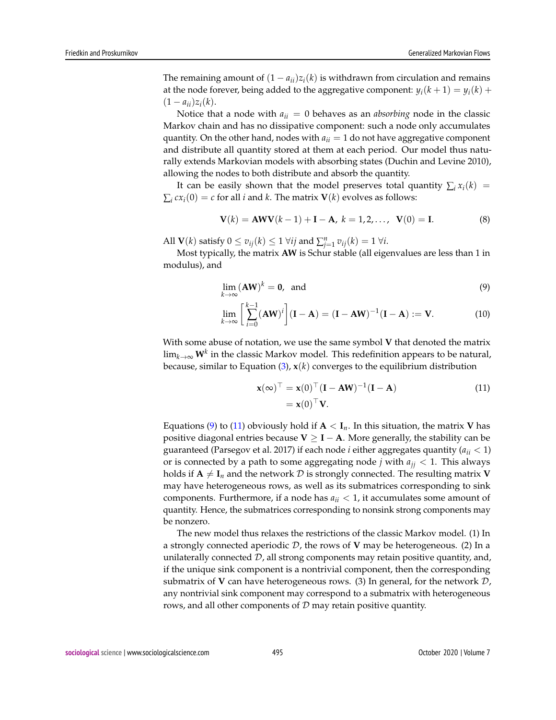The remaining amount of  $(1 - a_{ii})z_i(k)$  is withdrawn from circulation and remains at the node forever, being added to the aggregative component:  $y_i(k + 1) = y_i(k) +$  $(1 - a_{ii})z_i(k).$ 

Notice that a node with  $a_{ii} = 0$  behaves as an *absorbing* node in the classic Markov chain and has no dissipative component: such a node only accumulates quantity. On the other hand, nodes with  $a_{ii} = 1$  do not have aggregative component and distribute all quantity stored at them at each period. Our model thus naturally extends Markovian models with absorbing states (Duchin and Levine 2010), allowing the nodes to both distribute and absorb the quantity.

It can be easily shown that the model preserves total quantity  $\sum_i x_i(k)$  =  $\sum_i c x_i(0) = c$  for all *i* and *k*. The matrix **V**(*k*) evolves as follows:

$$
V(k) = AWV(k-1) + I - A, k = 1, 2, ..., V(0) = I.
$$
 (8)

All  $\mathbf{V}(k)$  satisfy  $0 \le v_{ij}(k) \le 1 \ \forall ij$  and  $\sum_{j=1}^{n} v_{ij}(k) = 1 \ \forall i$ .

Most typically, the matrix **AW** is Schur stable (all eigenvalues are less than 1 in modulus), and

$$
\lim_{k \to \infty} (\mathbf{A}\mathbf{W})^k = \mathbf{0}, \text{ and} \tag{9}
$$

$$
\lim_{k \to \infty} \left[ \sum_{i=0}^{k-1} (\mathbf{A} \mathbf{W})^i \right] (\mathbf{I} - \mathbf{A}) = (\mathbf{I} - \mathbf{A} \mathbf{W})^{-1} (\mathbf{I} - \mathbf{A}) := \mathbf{V}.
$$
 (10)

With some abuse of notation, we use the same symbol **V** that denoted the matrix lim*k*→<sup>∞</sup> **W***<sup>k</sup>* in the classic Markov model. This redefinition appears to be natural, because, similar to Equation  $(3)$ ,  $\mathbf{x}(k)$  converges to the equilibrium distribution

$$
\mathbf{x}(\infty)^\top = \mathbf{x}(0)^\top (\mathbf{I} - \mathbf{A}\mathbf{W})^{-1}(\mathbf{I} - \mathbf{A})
$$
  
=  $\mathbf{x}(0)^\top \mathbf{V}.$  (11)

Equations (9) to (11) obviously hold if  $A < I_n$ . In this situation, the matrix **V** has positive diagonal entries because  $V \geq I - A$ . More generally, the stability can be guaranteed (Parsegov et al. 2017) if each node *i* either aggregates quantity (*aii* < 1) or is connected by a path to some aggregating node *j* with  $a_{ij} < 1$ . This always holds if  $A \neq I_n$  and the network  $D$  is strongly connected. The resulting matrix **V** may have heterogeneous rows, as well as its submatrices corresponding to sink components. Furthermore, if a node has  $a_{ii} < 1$ , it accumulates some amount of quantity. Hence, the submatrices corresponding to nonsink strong components may be nonzero.

The new model thus relaxes the restrictions of the classic Markov model. (1) In a strongly connected aperiodic  $D$ , the rows of **V** may be heterogeneous. (2) In a unilaterally connected  $D$ , all strong components may retain positive quantity, and, if the unique sink component is a nontrivial component, then the corresponding submatrix of **V** can have heterogeneous rows. (3) In general, for the network  $D$ , any nontrivial sink component may correspond to a submatrix with heterogeneous rows, and all other components of  $D$  may retain positive quantity.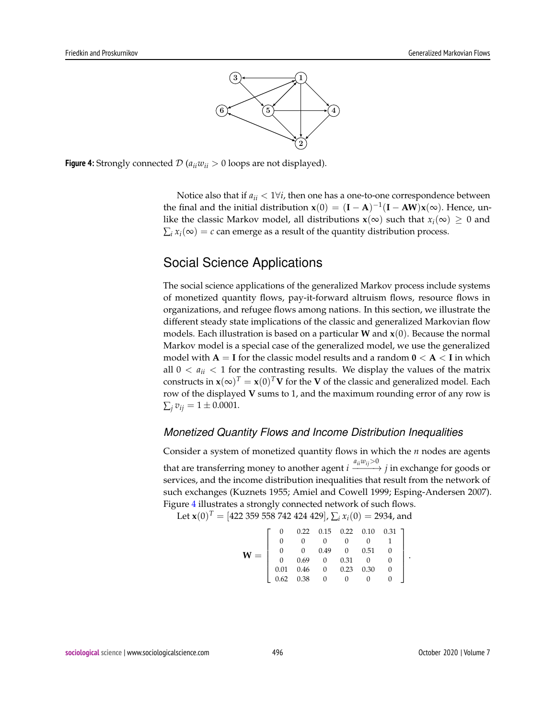

**Figure 4:** Strongly connected  $\mathcal{D}$  ( $a_{ii}w_{ii} > 0$  loops are not displayed).

Notice also that if  $a_{ii} < 1 \forall i$ , then one has a one-to-one correspondence between the final and the initial distribution  $\mathbf{x}(0) = (\mathbf{I} - \mathbf{A})^{-1}(\mathbf{I} - \mathbf{A}\mathbf{W})\mathbf{x}(\infty)$ . Hence, unlike the classic Markov model, all distributions  $\mathbf{x}(\infty)$  such that  $x_i(\infty) \geq 0$  and  $\sum_i x_i(\infty) = c$  can emerge as a result of the quantity distribution process.

# Social Science Applications

The social science applications of the generalized Markov process include systems of monetized quantity flows, pay-it-forward altruism flows, resource flows in organizations, and refugee flows among nations. In this section, we illustrate the different steady state implications of the classic and generalized Markovian flow models. Each illustration is based on a particular **W** and **x**(0). Because the normal Markov model is a special case of the generalized model, we use the generalized model with **A** = **I** for the classic model results and a random **0** < **A** < **I** in which all  $0 < a_{ii} < 1$  for the contrasting results. We display the values of the matrix constructs in  $\mathbf{x}(\infty)^T = \mathbf{x}(0)^T \mathbf{V}$  for the  $\mathbf{V}$  of the classic and generalized model. Each row of the displayed **V** sums to 1, and the maximum rounding error of any row is  $\sum_i v_{ij} = 1 \pm 0.0001.$ 

#### *Monetized Quantity Flows and Income Distribution Inequalities*

Consider a system of monetized quantity flows in which the *n* nodes are agents that are transferring money to another agent  $i \xrightarrow{a_{ii}w_{ij}>0} j$  in exchange for goods or services, and the income distribution inequalities that result from the network of such exchanges (Kuznets 1955; Amiel and Cowell 1999; Esping-Andersen 2007). Figure 4 illustrates a strongly connected network of such flows.

Let  $\mathbf{x}(0)^T = [422\ 359\ 558\ 742\ 424\ 429], \sum_i x_i(0) = 2934$ , and

$$
\mathbf{W} = \left[ \begin{array}{ccccc} 0 & 0.22 & 0.15 & 0.22 & 0.10 & 0.31 \\ 0 & 0 & 0 & 0 & 0 & 1 \\ 0 & 0 & 0.49 & 0 & 0.51 & 0 \\ 0 & 0.69 & 0 & 0.31 & 0 & 0 \\ 0.01 & 0.46 & 0 & 0.23 & 0.30 & 0 \\ 0.62 & 0.38 & 0 & 0 & 0 & 0 \end{array} \right]
$$

.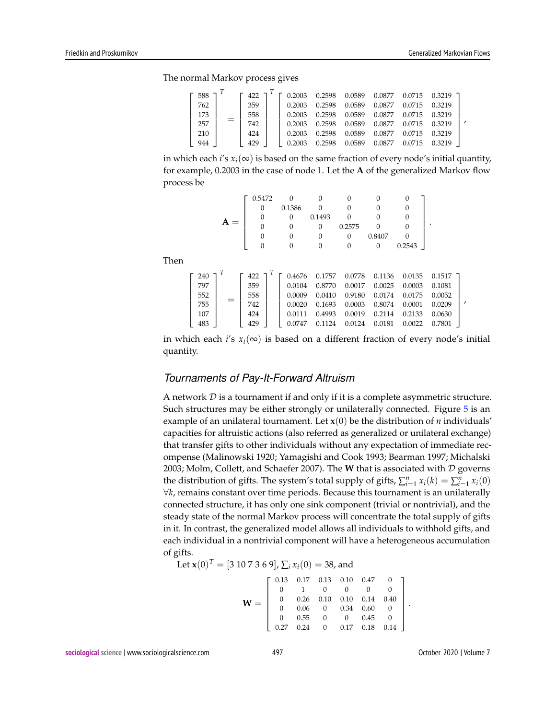,

,

The normal Markov process gives

| 588 | 422 |        | 0.2598 | 0.0589 | 0.0877 | 0.0715 | 0.3219 |  |
|-----|-----|--------|--------|--------|--------|--------|--------|--|
| 762 | 359 | 0.2003 | 0.2598 | 0.0589 | 0.0877 | 0.0715 | 0.3219 |  |
| 173 | 558 | 0.2003 | 0.2598 | 0.0589 | 0.0877 | 0.0715 | 0.3219 |  |
| 257 | 742 | 0.2003 | 0.2598 | 0.0589 | 0.0877 | 0.0715 | 0.3219 |  |
| 210 | 424 | 0.2003 | 0.2598 | 0.0589 | 0.0877 | 0.0715 | 0.3219 |  |
| 944 | 429 | 0.2003 | በ 2598 | 0.0589 | 0.0877 | በ በ715 | 0.3219 |  |

in which each *i*'s  $x_i(\infty)$  is based on the same fraction of every node's initial quantity, for example, 0.2003 in the case of node 1. Let the **A** of the generalized Markov flow process be

|     | 0.5472 |        |        |        |        |        |  |
|-----|--------|--------|--------|--------|--------|--------|--|
|     | 0      | 0.1386 |        |        |        |        |  |
| $=$ | O      | O      | 0.1493 |        |        |        |  |
|     | O      |        | O      | 0.2575 |        |        |  |
|     | U      |        | O      | O      | 0.8407 |        |  |
|     | O      |        | υ      | 0      | O      | 0.2543 |  |
|     |        |        |        |        |        |        |  |

Then

| 240 | 422 | 0.4676 | 0.1757 | 0.0778 | 0.1136 | 0.0135 | 0.1517 |
|-----|-----|--------|--------|--------|--------|--------|--------|
| 797 | 359 | 0.0104 | 0.8770 | 0.0017 | 0.0025 | 0.0003 | 0.1081 |
| 552 | 558 | 0.0009 | 0.0410 | 0.9180 | 0.0174 | 0.0175 | 0.0052 |
| 755 | 742 | 0.0020 | 0.1693 | 0.0003 | 0.8074 | 0.0001 | 0.0209 |
| 107 | 424 | 0.0111 | 0.4993 | 0.0019 | 0.2114 | 0.2133 | 0.0630 |
| 483 | 429 | 0.0747 | 0.1124 | 0.0124 | 0.0181 | 0.0022 | 0.7801 |

in which each *i*'s  $x_i(\infty)$  is based on a different fraction of every node's initial quantity.

#### *Tournaments of Pay-It-Forward Altruism*

A network  $D$  is a tournament if and only if it is a complete asymmetric structure. Such structures may be either strongly or unilaterally connected. Figure 5 is an example of an unilateral tournament. Let  $\mathbf{x}(0)$  be the distribution of *n* individuals' capacities for altruistic actions (also referred as generalized or unilateral exchange) that transfer gifts to other individuals without any expectation of immediate recompense (Malinowski 1920; Yamagishi and Cook 1993; Bearman 1997; Michalski 2003; Molm, Collett, and Schaefer 2007). The **W** that is associated with D governs the distribution of gifts. The system's total supply of gifts,  $\sum_{i=1}^{n} x_i(k) = \sum_{i=1}^{n} x_i(0)$ ∀*k*, remains constant over time periods. Because this tournament is an unilaterally connected structure, it has only one sink component (trivial or nontrivial), and the steady state of the normal Markov process will concentrate the total supply of gifts in it. In contrast, the generalized model allows all individuals to withhold gifts, and each individual in a nontrivial component will have a heterogeneous accumulation of gifts.

Let 
$$
\mathbf{x}(0)^T = [3 \ 10 \ 7 \ 3 \ 6 \ 9], \sum_i x_i(0) = 38
$$
, and

$$
\mathbf{W} = \left[ \begin{array}{cccccc} 0.13 & 0.17 & 0.13 & 0.10 & 0.47 & 0 \\ 0 & 1 & 0 & 0 & 0 & 0 \\ 0 & 0.26 & 0.10 & 0.10 & 0.14 & 0.40 \\ 0 & 0.06 & 0 & 0.34 & 0.60 & 0 \\ 0 & 0.55 & 0 & 0 & 0.45 & 0 \\ 0.27 & 0.24 & 0 & 0.17 & 0.18 & 0.14 \end{array} \right].
$$

**sociological science** | www.sociologicalscience.com 497 October 2020 | Volume 7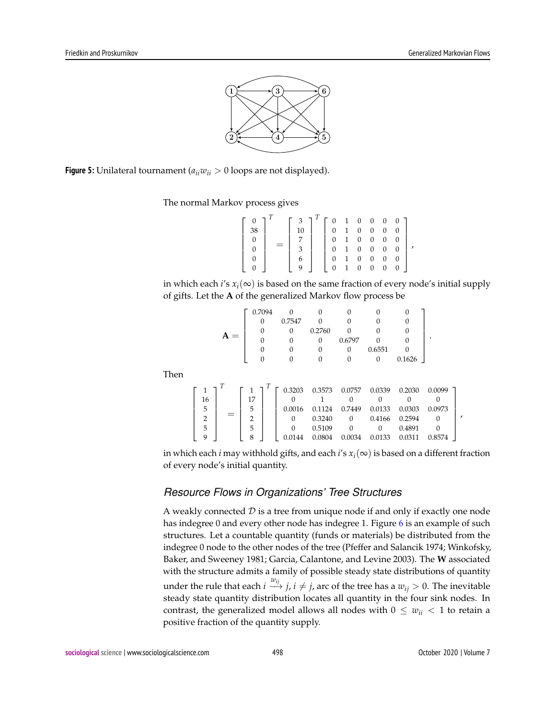

**Figure 5:** Unilateral tournament ( $a_{ii}w_{ii} > 0$  loops are not displayed).

Then

The normal Markov process gives

$$
\begin{bmatrix} 0 \\ 38 \\ 0 \\ 0 \\ 0 \\ 0 \end{bmatrix}^T = \begin{bmatrix} 3 \\ 10 \\ 7 \\ 3 \\ 3 \\ 6 \\ 9 \end{bmatrix}^T \begin{bmatrix} 0 & 1 & 0 & 0 & 0 & 0 \\ 0 & 1 & 0 & 0 & 0 & 0 \\ 0 & 1 & 0 & 0 & 0 & 0 \\ 0 & 1 & 0 & 0 & 0 & 0 \\ 0 & 1 & 0 & 0 & 0 & 0 \\ 0 & 1 & 0 & 0 & 0 & 0 \end{bmatrix},
$$

in which each *i*'s  $x_i(\infty)$  is based on the same fraction of every node's initial supply of gifts. Let the **A** of the generalized Markov flow process be

|                |       | 0.7094         | 0        | 0        |          | 0      | 0      |          |
|----------------|-------|----------------|----------|----------|----------|--------|--------|----------|
|                |       | 0              | 0.7547   | 0        | 0        | 0      | 0      |          |
|                |       | 0              | 0        | 0.2760   |          | 0      | 0      |          |
|                | $A =$ |                | 0        | $\Omega$ | 0.6797   |        |        |          |
|                |       |                | $\Omega$ | 0        | 0        | 0.6551 |        |          |
|                |       |                |          | 0        | 0        | 0      | 0.1626 |          |
|                |       |                |          |          |          |        |        |          |
| 1              |       | 1              | 0.3203   | 0.3573   | 0.0757   | 0.0339 | 0.2030 | 0.0099   |
| 16             |       | 17             |          |          | $\Omega$ |        |        |          |
| 5              |       | 5              | 0.0016   | 0.1124   | 0.7449   | 0.0133 | 0.0303 | 0.0973   |
| $\overline{2}$ |       | $\overline{2}$ | 0        | 0.3240   | $\Omega$ | 0.4166 | 0.2594 | $\Omega$ |
| 5              |       | 5              | $\Omega$ | 0.5109   | $\Omega$ | 0      | 0.4891 |          |
| 9              |       | 8              | 0.0144   | 0.0804   | 0.0034   | 0.0133 | 0.0311 | 0.8574   |

in which each *i* may withhold gifts, and each *i*'s *xi*(∞) is based on a different fraction of every node's initial quantity.

#### *Resource Flows in Organizations' Tree Structures*

A weakly connected  $D$  is a tree from unique node if and only if exactly one node has indegree 0 and every other node has indegree 1. Figure 6 is an example of such structures. Let a countable quantity (funds or materials) be distributed from the indegree 0 node to the other nodes of the tree (Pfeffer and Salancik 1974; Winkofsky, Baker, and Sweeney 1981; Garcia, Calantone, and Levine 2003). The **W** associated with the structure admits a family of possible steady state distributions of quantity under the rule that each  $i \stackrel{w_{ij}}{\longrightarrow} j$ ,  $i \neq j$ , arc of the tree has a  $w_{ij} > 0$ . The inevitable steady state quantity distribution locates all quantity in the four sink nodes. In contrast, the generalized model allows all nodes with  $0 \leq w_{ii} < 1$  to retain a positive fraction of the quantity supply.

,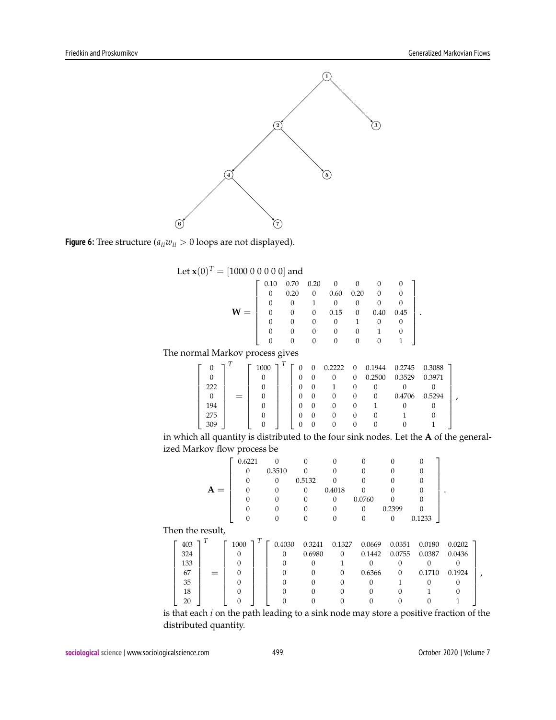



Let  $\mathbf{x}(0)^{T} = [1000 \ 0 \ 0 \ 0 \ 0 \ 0]$  and

|                     | 0.10     | 0.70     | 0.20           | 0        |                |        |        |       |
|---------------------|----------|----------|----------------|----------|----------------|--------|--------|-------|
|                     | 0        | 0.20     | $\theta$       | 0.60     | 0.20           | 0      |        |       |
|                     | 0        | 0        |                | $\Omega$ |                |        |        |       |
| $W =$               | 0        | 0        | 0              | 0.15     | 0              | 0.40   | 0.45   |       |
|                     |          | 0        | 0              | 0        |                | 0      | 0      |       |
|                     |          | 0        |                | 0        |                |        |        |       |
|                     |          | 0        | 0              | 0        | 0              | 0      |        |       |
| arkov process gives |          |          |                |          |                |        |        |       |
|                     | 1000 7   | 0        | $\overline{0}$ | 0.2222   | $\overline{0}$ | 0.1944 | 0.2745 | 0.308 |
|                     | $\Omega$ | $\Omega$ | $\Omega$       | $\Omega$ | $\Omega$       | 0.2500 | 0.3520 | 0.397 |

The normal Ma

| U   |     | 1000 |  | $\Omega$ | 0.2222 | $\theta$ | 0.1944 | 0.2745 | 0.3088 |  |
|-----|-----|------|--|----------|--------|----------|--------|--------|--------|--|
|     |     |      |  |          |        | $\Omega$ | 0.2500 | 0.3529 | 0.3971 |  |
| 222 |     |      |  |          |        |          |        |        |        |  |
|     | $=$ |      |  |          |        |          | O      | 0.4706 | 0.5294 |  |
| 194 |     |      |  |          |        |          |        |        |        |  |
| 275 |     |      |  |          |        |          |        |        |        |  |
| 309 |     |      |  |          |        |          |        |        |        |  |

in which all quantity is distributed to the four sink nodes. Let the **A** of the generalized Markov flow process be

|                  |       | 0.6221   | $\Omega$ | $\Omega$ | 0                | 0        | 0                | $\Omega$ |        |   |
|------------------|-------|----------|----------|----------|------------------|----------|------------------|----------|--------|---|
|                  |       | 0        | 0.3510   | 0        | 0                |          |                  |          |        |   |
|                  |       |          | $\Omega$ | 0.5132   |                  |          |                  |          |        |   |
|                  | $A =$ | 0        | 0        | 0        | 0.4018           |          |                  |          |        |   |
|                  |       | 0        | 0        | $\Omega$ | $\theta$         | 0.0760   | $\Omega$         | 0        |        |   |
|                  |       |          |          | 0        | 0                | $\Omega$ | 0.2399           | U        |        |   |
|                  |       | 0        | $\Omega$ | $\Omega$ | $\boldsymbol{0}$ | 0        | $\boldsymbol{0}$ | 0.1233   |        |   |
| Then the result, |       |          |          |          |                  |          |                  |          |        |   |
| 403              | T     | 1000     | 0.4030   | 0.3241   | 0.1327           | 0.0669   | 0.0351           | 0.0180   | 0.0202 |   |
| 324              |       |          | 0        | 0.6980   | $\Omega$         | 0.1442   | 0.0755           | 0.0387   | 0.0436 |   |
| 133              |       | $\Omega$ |          |          |                  |          | 0                | $\Omega$ |        |   |
| 67               |       | 0        |          | 0        | $\Omega$         | 0.6366   | $\Omega$         | 0.1710   | 0.1924 | , |
| 35               |       | 0        |          | U        | 0                | 0        |                  | 0        | Ω      |   |
| 18               |       | 0        |          |          |                  |          |                  |          |        |   |
| 20               |       |          |          |          |                  |          |                  |          |        |   |
|                  |       |          |          |          |                  |          |                  |          |        |   |

is that each *i* on the path leading to a sink node may store a positive fraction of the distributed quantity.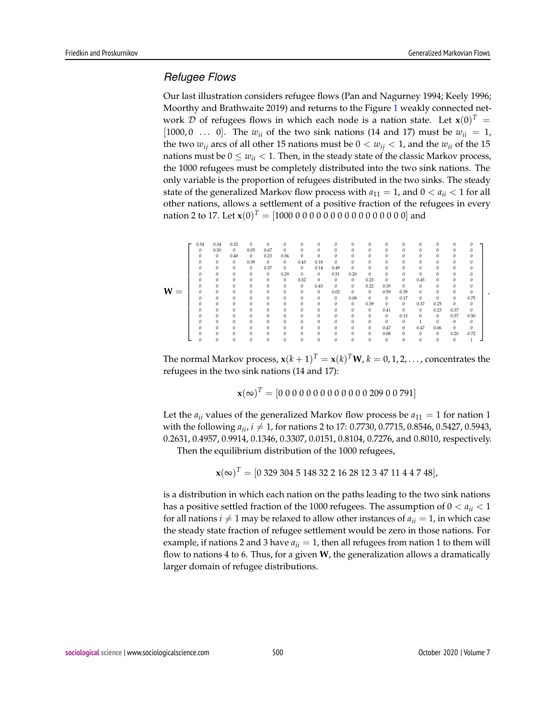.

#### *Refugee Flows*

Our last illustration considers refugee flows (Pan and Nagurney 1994; Keely 1996; Moorthy and Brathwaite 2019) and returns to the Figure 1 weakly connected network  $\mathcal D$  of refugees flows in which each node is a nation state. Let  $\mathbf x(0)^T = \mathbf A_1$ [1000,0 ... 0]. The  $w_{ii}$  of the two sink nations (14 and 17) must be  $w_{ii} = 1$ , the two  $w_{ij}$  arcs of all other 15 nations must be  $0 < w_{ij} < 1$ , and the  $w_{ij}$  of the 15 nations must be  $0 \leq w_{ii} < 1$ . Then, in the steady state of the classic Markov process, the 1000 refugees must be completely distributed into the two sink nations. The only variable is the proportion of refugees distributed in the two sinks. The steady state of the generalized Markov flow process with  $a_{11} = 1$ , and  $0 < a_{ii} < 1$  for all other nations, allows a settlement of a positive fraction of the refugees in every nation 2 to 17. Let **x**(0) *<sup>T</sup>* = [1000 0 0 0 0 0 0 0 0 0 0 0 0 0 0 0 0] and

|       | 0.34         | 0.34         | 0.32         | $\mathbf{0}$ | $\mathbf{0}$ | $\mathbf{0}$ | $\mathbf{0}$ | $\mathbf{0}$ | $\mathbf{0}$ | $\Omega$     | $\Omega$     | $\Omega$     | $\mathbf{0}$ | $\Omega$     | $\mathbf{0}$ | $\mathbf{0}$ |              |
|-------|--------------|--------------|--------------|--------------|--------------|--------------|--------------|--------------|--------------|--------------|--------------|--------------|--------------|--------------|--------------|--------------|--------------|
|       | $\Omega$     | 0.30         | $\theta$     | 0.03         | 0.67         | $\mathbf{0}$ | $\Omega$     | $\mathbf{0}$ | 0            | 0            | 0            | $\Omega$     | $\Omega$     | $\Omega$     | $\Omega$     | $\Omega$     | 0            |
|       | $\Omega$     | $\mathbf{0}$ | 0.40         | $\mathbf{0}$ | 0.23         | 0.36         | $\mathbf{0}$ | $\mathbf{0}$ | 0            | 0            | 0            | 0            | $\mathbf{0}$ | $\mathbf{0}$ | $\mathbf{0}$ | 0            | 0            |
|       |              | $\mathbf{0}$ | $\theta$     | 0.39         | $\mathbf{0}$ | $\mathbf{0}$ | 0.43         | 0.18         | $\mathbf{0}$ | 0            | 0            | $\Omega$     | $\mathbf{0}$ | $\mathbf{0}$ | $\mathbf{0}$ | $\mathbf{0}$ | 0            |
|       |              | $\mathbf{0}$ | $\mathbf{0}$ | $\mathbf{0}$ | 0.37         | $\mathbf{0}$ | $\theta$     | 0.14         | 0.49         | 0            | 0            | 0            | $\mathbf{0}$ | $\mathbf{0}$ | $\mathbf{0}$ | 0            | 0            |
|       |              | $\Omega$     | $\Omega$     | $\mathbf{0}$ | $\mathbf{0}$ | 0.29         | $\theta$     | $\theta$     | 0.51         | 0.20         | $\Omega$     | $\Omega$     | $\Omega$     | $\Omega$     | $\Omega$     | $\Omega$     | $\Omega$     |
|       |              | $\Omega$     | $\Omega$     | $\Omega$     | $\mathbf{0}$ | $\mathbf{0}$ | 0.32         | $\mathbf{0}$ | $\mathbf{0}$ | $\mathbf{0}$ | 0.23         | $\mathbf{0}$ | $\Omega$     | 0.45         | $\mathbf{0}$ | $\Omega$     | $\Omega$     |
|       |              | $\Omega$     | $\Omega$     | $\Omega$     | $\Omega$     | $\mathbf{0}$ | $\theta$     | 0.43         | $\mathbf{0}$ | 0            | 0.22         | 0.35         | $\Omega$     | $\mathbf{0}$ | $\Omega$     | $\Omega$     | 0            |
| $W =$ | $\mathbf{0}$ | $\mathbf{0}$ | $\mathbf{0}$ | $\Omega$     | $\Omega$     | $\mathbf{0}$ | $\mathbf{0}$ | $\mathbf{0}$ | 0.02         | 0            | $\mathbf{0}$ | 0.59         | 0.39         | $\mathbf{0}$ | $\Omega$     | $\mathbf{0}$ | 0            |
|       | $\Omega$     | $\mathbf{0}$ | $\Omega$     | 0            | $\mathbf{0}$ | $\mathbf{0}$ | $\mathbf{0}$ | $\mathbf{0}$ | $\mathbf{0}$ | 0.08         | $\mathbf{0}$ | $\mathbf{0}$ | 0.17         | $\mathbf{0}$ | 0            | $\mathbf{0}$ | 0.75         |
|       |              | $\Omega$     | 0            | $\Omega$     | $\mathbf{0}$ | $\mathbf{0}$ | $\mathbf{0}$ | $\mathbf{0}$ | $\mathbf{0}$ | $\mathbf{0}$ | 0.39         | $\mathbf{0}$ | $\theta$     | 0.37         | 0.25         | 0            | $\mathbf{0}$ |
|       |              | $\Omega$     | $\Omega$     | $\Omega$     | $\mathbf{0}$ | $\mathbf{0}$ | $\mathbf{0}$ | $\mathbf{0}$ | 0            | $\mathbf{0}$ | $\mathbf{0}$ | 0.41         | $\mathbf{0}$ | $\mathbf{0}$ | 0.23         | 0.37         | $\mathbf{0}$ |
|       |              | $\Omega$     | $\Omega$     | $\Omega$     | $\mathbf{0}$ | $\mathbf{0}$ | $\mathbf{0}$ | $\mathbf{0}$ | $\Omega$     | $\Omega$     | $\mathbf{0}$ | $\mathbf{0}$ | 0.13         | $\mathbf{0}$ | $\mathbf{0}$ | 0.37         | 0.50         |
|       |              | $\Omega$     | $\Omega$     | $\Omega$     | $\Omega$     | $\Omega$     | $\Omega$     | $\Omega$     | $\Omega$     | 0            | $\Omega$     | $\Omega$     | $\theta$     |              | $\Omega$     | $\Omega$     | $\Omega$     |
|       |              | $\Omega$     | $\Omega$     | $\Omega$     | $\Omega$     | $\Omega$     | $\Omega$     | $\Omega$     | 0            | 0            | $\Omega$     | 0.47         | $\Omega$     | 0.47         | 0.06         | $\mathbf{0}$ | 0            |
|       |              | $\Omega$     | $\Omega$     | $\Omega$     | $\Omega$     | $\Omega$     | $\Omega$     | $\Omega$     | 0            | 0            | $\Omega$     | 0.08         | $\mathbf{0}$ | $\mathbf{0}$ | $\mathbf{0}$ | 0.20         | 0.72         |
|       |              | $\Omega$     | $\Omega$     | $\Omega$     | $\mathbf{0}$ | $\mathbf{0}$ | $\Omega$     | $\Omega$     | 0            | 0            | 0            | $\mathbf{0}$ | $\Omega$     | $\mathbf{0}$ | $\mathbf{0}$ | $\mathbf{0}$ |              |

The normal Markov process,  $\mathbf{x}(k+1)^T = \mathbf{x}(k)^T \mathbf{W}$ ,  $k = 0, 1, 2, \ldots$  , concentrates the refugees in the two sink nations (14 and 17):

$$
\mathbf{x}(\infty)^T = [0\ 0\ 0\ 0\ 0\ 0\ 0\ 0\ 0\ 0\ 0\ 0\ 0\ 209\ 0\ 0\ 791]
$$

Let the  $a_{ii}$  values of the generalized Markov flow process be  $a_{11} = 1$  for nation 1 with the following  $a_{ii}$ ,  $i \neq 1$ , for nations 2 to 17: 0.7730, 0.7715, 0.8546, 0.5427, 0.5943, 0.2631, 0.4957, 0.9914, 0.1346, 0.3307, 0.0151, 0.8104, 0.7276, and 0.8010, respectively.

Then the equilibrium distribution of the 1000 refugees,

**x**(∞) *<sup>T</sup>* = [0 329 304 5 148 32 2 16 28 12 3 47 11 4 4 7 48],

is a distribution in which each nation on the paths leading to the two sink nations has a positive settled fraction of the 1000 refugees. The assumption of 0 < *aii* < 1 for all nations  $i \neq 1$  may be relaxed to allow other instances of  $a_{ii} = 1$ , in which case the steady state fraction of refugee settlement would be zero in those nations. For example, if nations 2 and 3 have  $a_{ii} = 1$ , then all refugees from nation 1 to them will flow to nations 4 to 6. Thus, for a given **W**, the generalization allows a dramatically larger domain of refugee distributions.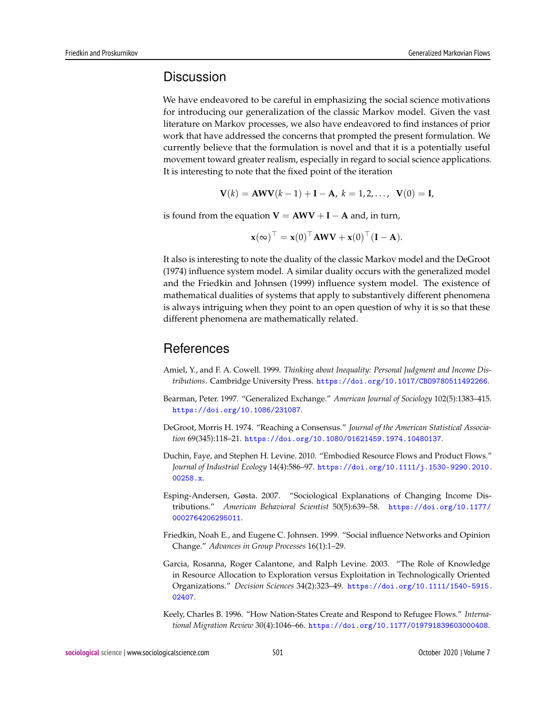## **Discussion**

We have endeavored to be careful in emphasizing the social science motivations for introducing our generalization of the classic Markov model. Given the vast literature on Markov processes, we also have endeavored to find instances of prior work that have addressed the concerns that prompted the present formulation. We currently believe that the formulation is novel and that it is a potentially useful movement toward greater realism, especially in regard to social science applications. It is interesting to note that the fixed point of the iteration

$$
V(k) = AWV(k-1) + I - A, k = 1, 2, ..., V(0) = I,
$$

is found from the equation  $V = AWV + I - A$  and, in turn,

$$
\mathbf{x}(\infty)^\top = \mathbf{x}(0)^\top \mathbf{A} \mathbf{W} \mathbf{V} + \mathbf{x}(0)^\top (\mathbf{I} - \mathbf{A}).
$$

It also is interesting to note the duality of the classic Markov model and the DeGroot (1974) influence system model. A similar duality occurs with the generalized model and the Friedkin and Johnsen (1999) influence system model. The existence of mathematical dualities of systems that apply to substantively different phenomena is always intriguing when they point to an open question of why it is so that these different phenomena are mathematically related.

## References

- Amiel, Y., and F. A. Cowell. 1999. *Thinking about Inequality: Personal Judgment and Income Distributions*. Cambridge University Press. <https://doi.org/10.1017/CBO9780511492266>.
- Bearman, Peter. 1997. "Generalized Exchange." *American Journal of Sociology* 102(5):1383–415. <https://doi.org/10.1086/231087>.
- DeGroot, Morris H. 1974. "Reaching a Consensus." *Journal of the American Statistical Association* 69(345):118–21. <https://doi.org/10.1080/01621459.1974.10480137>.
- Duchin, Faye, and Stephen H. Levine. 2010. "Embodied Resource Flows and Product Flows." *Journal of Industrial Ecology* 14(4):586–97. [https://doi.org/10.1111/j.1530-9290.2010.](https://doi.org/10.1111/j.1530-9290.2010.00258.x) [00258.x](https://doi.org/10.1111/j.1530-9290.2010.00258.x).
- Esping-Andersen, Gøsta. 2007. "Sociological Explanations of Changing Income Distributions." *American Behavioral Scientist* 50(5):639–58. [https://doi.org/10.1177/](https://doi.org/10.1177/0002764206295011) [0002764206295011](https://doi.org/10.1177/0002764206295011).
- Friedkin, Noah E., and Eugene C. Johnsen. 1999. "Social influence Networks and Opinion Change." *Advances in Group Processes* 16(1):1–29.
- Garcia, Rosanna, Roger Calantone, and Ralph Levine. 2003. "The Role of Knowledge in Resource Allocation to Exploration versus Exploitation in Technologically Oriented Organizations." *Decision Sciences* 34(2):323–49. [https://doi.org/10.1111/1540-5915.](https://doi.org/10.1111/1540-5915.02407) [02407](https://doi.org/10.1111/1540-5915.02407).
- Keely, Charles B. 1996. "How Nation-States Create and Respond to Refugee Flows." *International Migration Review* 30(4):1046–66. <https://doi.org/10.1177/019791839603000408>.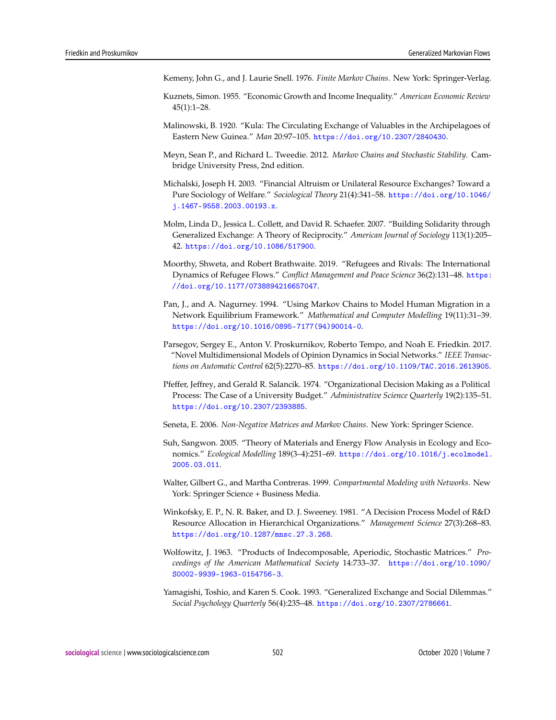- Kemeny, John G., and J. Laurie Snell. 1976. *Finite Markov Chains*. New York: Springer-Verlag.
- Kuznets, Simon. 1955. "Economic Growth and Income Inequality." *American Economic Review* 45(1):1–28.
- Malinowski, B. 1920. "Kula: The Circulating Exchange of Valuables in the Archipelagoes of Eastern New Guinea." *Man* 20:97–105. <https://doi.org/10.2307/2840430>.
- Meyn, Sean P., and Richard L. Tweedie. 2012. *Markov Chains and Stochastic Stability*. Cambridge University Press, 2nd edition.
- Michalski, Joseph H. 2003. "Financial Altruism or Unilateral Resource Exchanges? Toward a Pure Sociology of Welfare." *Sociological Theory* 21(4):341–58. [https://doi.org/10.1046/](https://doi.org/10.1046/j.1467-9558.2003.00193.x) [j.1467-9558.2003.00193.x](https://doi.org/10.1046/j.1467-9558.2003.00193.x).
- Molm, Linda D., Jessica L. Collett, and David R. Schaefer. 2007. "Building Solidarity through Generalized Exchange: A Theory of Reciprocity." *American Journal of Sociology* 113(1):205– 42. <https://doi.org/10.1086/517900>.
- Moorthy, Shweta, and Robert Brathwaite. 2019. "Refugees and Rivals: The International Dynamics of Refugee Flows." *Conflict Management and Peace Science* 36(2):131–48. [https:](https://doi.org/10.1177/0738894216657047) [//doi.org/10.1177/0738894216657047](https://doi.org/10.1177/0738894216657047).
- Pan, J., and A. Nagurney. 1994. "Using Markov Chains to Model Human Migration in a Network Equilibrium Framework." *Mathematical and Computer Modelling* 19(11):31–39. [https://doi.org/10.1016/0895-7177\(94\)90014-0](https://doi.org/10.1016/0895-7177(94)90014-0).
- Parsegov, Sergey E., Anton V. Proskurnikov, Roberto Tempo, and Noah E. Friedkin. 2017. "Novel Multidimensional Models of Opinion Dynamics in Social Networks." *IEEE Transactions on Automatic Control* 62(5):2270–85. <https://doi.org/10.1109/TAC.2016.2613905>.
- Pfeffer, Jeffrey, and Gerald R. Salancik. 1974. "Organizational Decision Making as a Political Process: The Case of a University Budget." *Administrative Science Quarterly* 19(2):135–51. <https://doi.org/10.2307/2393885>.
- Seneta, E. 2006. *Non-Negative Matrices and Markov Chains*. New York: Springer Science.
- Suh, Sangwon. 2005. "Theory of Materials and Energy Flow Analysis in Ecology and Economics." *Ecological Modelling* 189(3–4):251–69. [https://doi.org/10.1016/j.ecolmodel.](https://doi.org/10.1016/j.ecolmodel.2005.03.011) [2005.03.011](https://doi.org/10.1016/j.ecolmodel.2005.03.011).
- Walter, Gilbert G., and Martha Contreras. 1999. *Compartmental Modeling with Networks*. New York: Springer Science + Business Media.
- Winkofsky, E. P., N. R. Baker, and D. J. Sweeney. 1981. "A Decision Process Model of R&D Resource Allocation in Hierarchical Organizations." *Management Science* 27(3):268–83. <https://doi.org/10.1287/mnsc.27.3.268>.
- Wolfowitz, J. 1963. "Products of Indecomposable, Aperiodic, Stochastic Matrices." *Proceedings of the American Mathematical Society* 14:733–37. [https://doi.org/10.1090/](https://doi.org/10.1090/S0002-9939-1963-0154756-3) [S0002-9939-1963-0154756-3](https://doi.org/10.1090/S0002-9939-1963-0154756-3).
- Yamagishi, Toshio, and Karen S. Cook. 1993. "Generalized Exchange and Social Dilemmas." *Social Psychology Quarterly* 56(4):235–48. <https://doi.org/10.2307/2786661>.